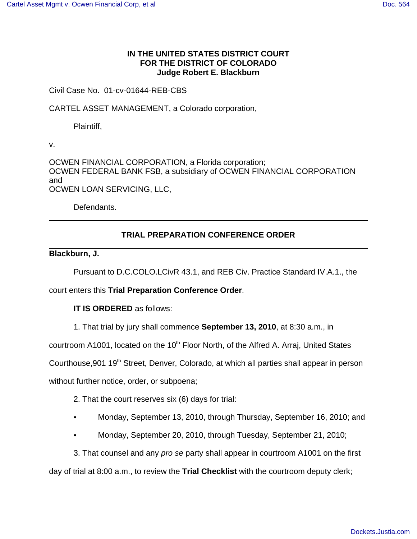## **IN THE UNITED STATES DISTRICT COURT FOR THE DISTRICT OF COLORADO Judge Robert E. Blackburn**

## Civil Case No. 01-cv-01644-REB-CBS

CARTEL ASSET MANAGEMENT, a Colorado corporation,

Plaintiff,

v.

OCWEN FINANCIAL CORPORATION, a Florida corporation; OCWEN FEDERAL BANK FSB, a subsidiary of OCWEN FINANCIAL CORPORATION and OCWEN LOAN SERVICING, LLC,

Defendants.

# **TRIAL PREPARATION CONFERENCE ORDER**

### **Blackburn, J.**

Pursuant to D.C.COLO.LCivR 43.1, and REB Civ. Practice Standard IV.A.1., the

court enters this **Trial Preparation Conference Order**.

**IT IS ORDERED** as follows:

1. That trial by jury shall commence **September 13, 2010**, at 8:30 a.m., in

courtroom A1001, located on the 10<sup>th</sup> Floor North, of the Alfred A. Arraj, United States

Courthouse, 901 19<sup>th</sup> Street, Denver, Colorado, at which all parties shall appear in person

without further notice, order, or subpoena;

2. That the court reserves six (6) days for trial:

- Monday, September 13, 2010, through Thursday, September 16, 2010; and
- C Monday, September 20, 2010, through Tuesday, September 21, 2010;

3. That counsel and any pro se party shall appear in courtroom A1001 on the first

day of trial at 8:00 a.m., to review the **Trial Checklist** with the courtroom deputy clerk;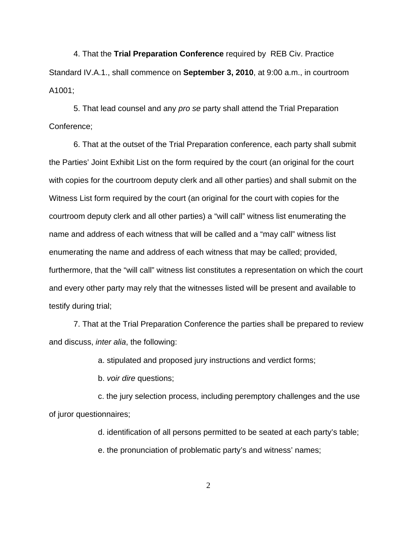4. That the **Trial Preparation Conference** required by REB Civ. Practice Standard IV.A.1., shall commence on **September 3, 2010**, at 9:00 a.m., in courtroom A1001;

5. That lead counsel and any pro se party shall attend the Trial Preparation Conference;

6. That at the outset of the Trial Preparation conference, each party shall submit the Parties' Joint Exhibit List on the form required by the court (an original for the court with copies for the courtroom deputy clerk and all other parties) and shall submit on the Witness List form required by the court (an original for the court with copies for the courtroom deputy clerk and all other parties) a "will call" witness list enumerating the name and address of each witness that will be called and a "may call" witness list enumerating the name and address of each witness that may be called; provided, furthermore, that the "will call" witness list constitutes a representation on which the court and every other party may rely that the witnesses listed will be present and available to testify during trial;

7. That at the Trial Preparation Conference the parties shall be prepared to review and discuss, inter alia, the following:

a. stipulated and proposed jury instructions and verdict forms;

b. voir dire questions;

c. the jury selection process, including peremptory challenges and the use of juror questionnaires;

d. identification of all persons permitted to be seated at each party's table;

e. the pronunciation of problematic party's and witness' names;

2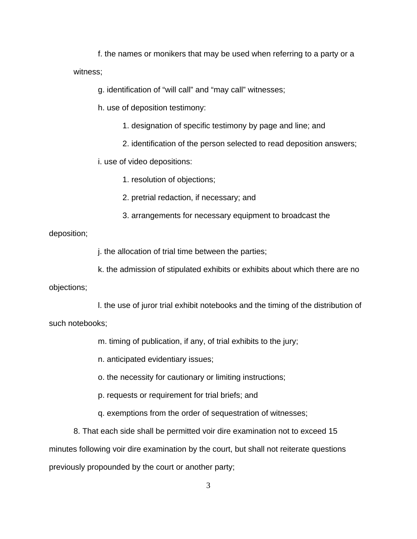f. the names or monikers that may be used when referring to a party or a witness;

g. identification of "will call" and "may call" witnesses;

h. use of deposition testimony:

1. designation of specific testimony by page and line; and

2. identification of the person selected to read deposition answers;

i. use of video depositions:

1. resolution of objections;

2. pretrial redaction, if necessary; and

3. arrangements for necessary equipment to broadcast the

#### deposition;

j. the allocation of trial time between the parties;

k. the admission of stipulated exhibits or exhibits about which there are no

objections;

l. the use of juror trial exhibit notebooks and the timing of the distribution of such notebooks;

m. timing of publication, if any, of trial exhibits to the jury;

n. anticipated evidentiary issues;

o. the necessity for cautionary or limiting instructions;

p. requests or requirement for trial briefs; and

q. exemptions from the order of sequestration of witnesses;

8. That each side shall be permitted voir dire examination not to exceed 15 minutes following voir dire examination by the court, but shall not reiterate questions previously propounded by the court or another party;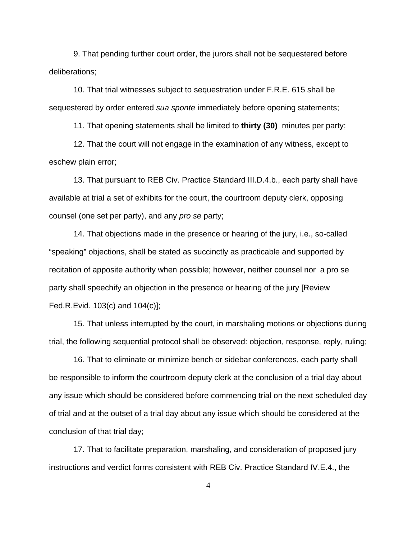9. That pending further court order, the jurors shall not be sequestered before deliberations;

10. That trial witnesses subject to sequestration under F.R.E. 615 shall be sequestered by order entered sua sponte immediately before opening statements;

11. That opening statements shall be limited to **thirty (30)** minutes per party;

12. That the court will not engage in the examination of any witness, except to eschew plain error;

13. That pursuant to REB Civ. Practice Standard III.D.4.b., each party shall have available at trial a set of exhibits for the court, the courtroom deputy clerk, opposing counsel (one set per party), and any pro se party;

14. That objections made in the presence or hearing of the jury, i.e., so-called "speaking" objections, shall be stated as succinctly as practicable and supported by recitation of apposite authority when possible; however, neither counsel nor a pro se party shall speechify an objection in the presence or hearing of the jury [Review Fed.R.Evid. 103(c) and 104(c)];

15. That unless interrupted by the court, in marshaling motions or objections during trial, the following sequential protocol shall be observed: objection, response, reply, ruling;

16. That to eliminate or minimize bench or sidebar conferences, each party shall be responsible to inform the courtroom deputy clerk at the conclusion of a trial day about any issue which should be considered before commencing trial on the next scheduled day of trial and at the outset of a trial day about any issue which should be considered at the conclusion of that trial day;

17. That to facilitate preparation, marshaling, and consideration of proposed jury instructions and verdict forms consistent with REB Civ. Practice Standard IV.E.4., the